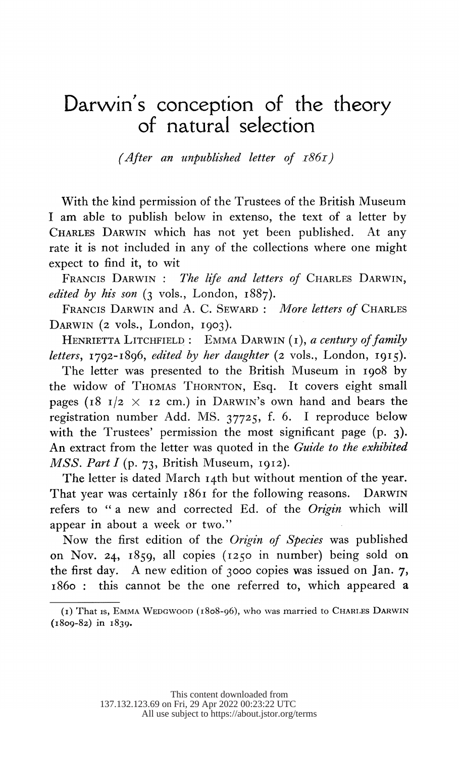## Darwin's conception of the theory of natural selection

(After an unpublished letter of  $186I$ )

 With the kind permission of the Trustees of the British Museum I am able to publish below in extenso, the text of a letter by CHARLES DARWIN which has not yet been published. At any rate it is not included in any of the collections where one might expect to find it, to wit

FRANCIS DARWIN : The life and letters of CHARLES DARWIN, edited by his son  $(3 \text{ vols.}, \text{London. } 1887)$ .

FRANCIS DARWIN and A. C. SEWARD: More letters of CHARLES DARWIN (2 vols., London, 1903).

HENRIETTA LITCHFIELD: EMMA DARWIN  $(i)$ , a century of family letters, 1792-1896, edited by her daughter (2 vols., London, 1915).

 The letter was presented to the British Museum in I908 by the widow of THOMAS THORNTON, Esq. It covers eight small pages ( $18$  I/2  $\times$  I2 cm.) in DARWIN's own hand and bears the registration number Add. MS. 37725, f. 6. I reproduce below with the Trustees' permission the most significant page (p. 3). An extract from the letter was quoted in the Guide to the exhibited MSS. Part I (p. 73, British Museum, 1912).

 The letter is dated March 14th but without mention of the year. That year was certainly 1861 for the following reasons. DARWIN refers to " a new and corrected Ed. of the Origin which will appear in about a week or two."

 Now the first edition of the Origin of Species was published on Nov. 24, 1859, all copies (1250 in number) being sold on the first day. A new edition of 3000 copies was issued on Jan. 7, 1860 : this cannot be the one referred to, which appeared a

 <sup>(</sup>i) That is, EM1MA WEDGWOOD (5808-96), who was married to CHARLES DARWIN (I809-82) in I839.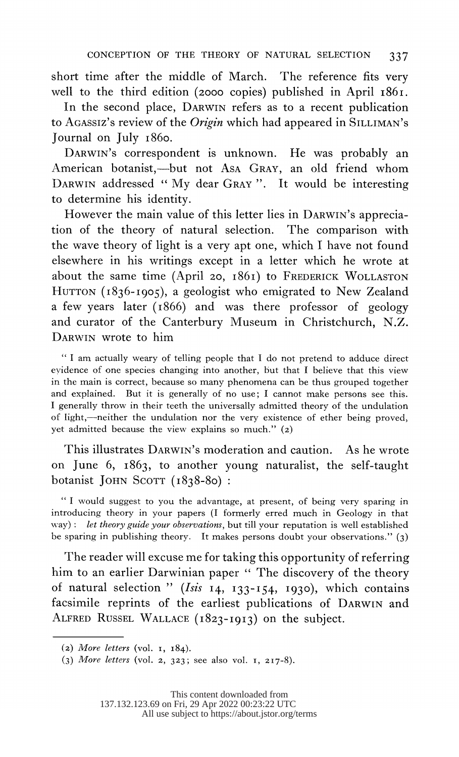short time after the middle of March. The reference fits very well to the third edition (2000 copies) published in April 1861.

 In the second place, DARWIN refers as to a recent publication to AGASSIZ's review of the Origin which had appeared in SILLIMAN's Journal on July i86o.

 DARWIN'S correspondent is unknown. He was probably an American botanist,-but not Asa GRAY, an old friend whom DARWIN addressed " My dear GRAY ". It would be interesting to determine his identity.

 However the main value of this letter lies in DARWIN'S apprecia tion of the theory of natural selection. The comparison with the wave theory of light is a very apt one, which I have not found elsewhere in his writings except in a letter which he wrote at about the same time (April 20, i86i) to FREDERICK WOLLASTON HUTTON (1836-1905), a geologist who emigrated to New Zealand a few years later (i866) and was there professor of geology and curator of the Canterbury Museum in Christchurch, N.Z. DARWIN wrote to him

 " I am actually weary of telling people that I do not pretend to adduce direct evidence of one species changing into another, but that I believe that this view in the main is correct, because so many phenomena can be thus grouped together and explained. But it is generally of no use; I cannot make persons see this. I generally throw in their teeth the universally admitted theory of the undulation of light,-neither the undulation nor the very existence of ether being proved, yet admitted because the view explains so much." (2)

 This illustrates DARWIN'S moderation and caution. As he wrote on June 6, I863, to another young naturalist, the self-taught botanist JOHN SCOTT (I838-80) :

 " I would suggest to you the advantage, at present, of being very sparing in introducing theory in your papers (I formerly erred much in Geology in that way): let theory guide your observations, but till your reputation is well established be sparing in publishing theory. It makes persons doubt your observations." (3)

 The reader will excuse me for taking this opportunity of referring him to an earlier Darwinian paper " The discovery of the theory of natural selection " (Isis  $14$ ,  $133-154$ , 1930), which contains facsimile reprints of the earliest publications of DARWIN and ALFRED RUSSEL WALLACE (I823-I9I3) on the subject.

<sup>(2)</sup> More letters (vol.  $1, 184$ ).

 <sup>(3)</sup> More letters (vol. a, 323; see also vol. I, 2I7-8).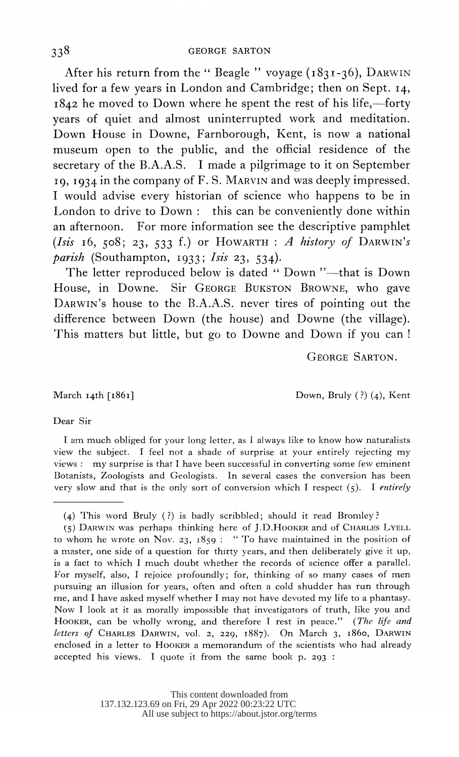After his return from the "Beagle" voyage  $(1831-36)$ , DARWIN lived for a few years in London and Cambridge; then on Sept. I4,  $1842$  he moved to Down where he spent the rest of his life,--forty years of quiet and almost uninterrupted work and meditation. Down House in Downe, Farnborough, Kent, is now a national museum open to the public, and the official residence of the secretary of the B.A.A.S. I made a pilgrimage to it on September 19, I934 in the company of F. S. MARVIN and was deeply impressed. I would advise every historian of science who happens to be in London to drive to Down: this can be conveniently done within an afternoon. For more information see the descriptive pamphlet (Isis 16, 508; 23, 533 f.) or HOWARTH: A history of DARWIN's parish (Southampton, 1933; Isis 23, 534).

The letter reproduced below is dated " Down "-- that is Down House, in Downe. Sir GEORGE BUKSTON BROWNE, who gave DARWIN'S house to the B.A.A.S. never tires of pointing out the difference between Down (the house) and Downe (the village). This matters but little, but go to Downe and Down if you can!

GEORGE SARTON.

March 14th [1861] Down, Bruly (?) (4), Kent

## Dear Sir

I am much obliged for your long letter, as I always like to know how naturalists view the subject. I feel not a shade of surprise at your entirely rejecting my views: my surprise is that I have been successful in converting some few eminent Botanists, Zoologists and Geologists. In several cases the conversion has been very slow and that is the only sort of conversion which I respect  $(5)$ . I entirely

 <sup>(4)</sup> This word Bruly ( ?) is badly scribbled; should it read Bromley?

 <sup>(5)</sup> DARWIN was perhaps thinking here of J.D.HOOKER and of CHARLES LYELL to whom he wrote on Nov. 23,  $1859:$  "To have maintained in the position of a master, one side of a question for thirty years, and then deliberately give it up, is a fact to which I much doubt whether the records of science offer a parallel. For myself, also, I rejoice profoundly; for, thinking of so many cases of men pursuing an illusion for years, often and often a cold shudder has run through me, and I have asked myself whether I may not have devoted my life to a phantasy. Now I look at it as morally impossible that investigators of truth, like you and HOOKER, can be wholly wrong, and therefore I rest in peace." (The life and letters of CHARLES DARWIN, vol. 2, 229, I887). On March 3, I86o, DARWIN enclosed in a letter to HOOKER a memorandum- of the scientists who had already accepted his views. I quote it from the same book p. 293: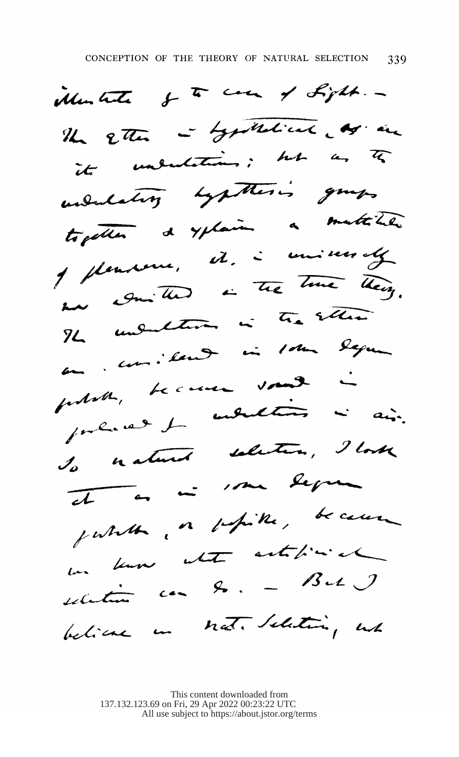Monter of to come of Light .-The Etter - Lynthetical og. an its understanding; but as to underlating synthetics guess togetter de yplain à matitier  $Im~Q_{min}$  that is the time theory. The understand in the seller poses, because vous i Io natured solution, I look  $\overline{st}$  on  $\overline{st}$  . The Segma jutate, or petite, because selection can be  $-$  Bet  $J$ believe in not. Selection, wh